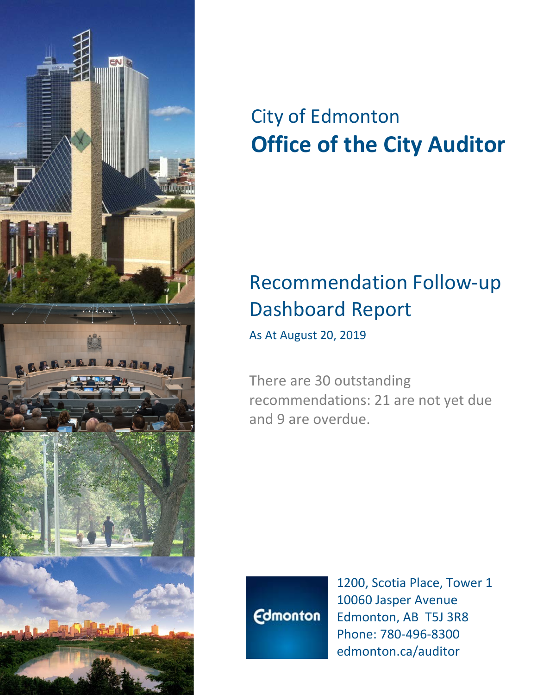

# City of Edmonton **Office of the City Auditor**

## Recommendation Follow-up Dashboard Report

As At August 20, 2019

There are 30 outstanding recommendations: 21 are not yet due and 9 are overdue.



1200, Scotia Place, Tower 1 10060 Jasper Avenue Edmonton, AB T5J 3R8 Phone: 780-496-8300 edmonton.ca/auditor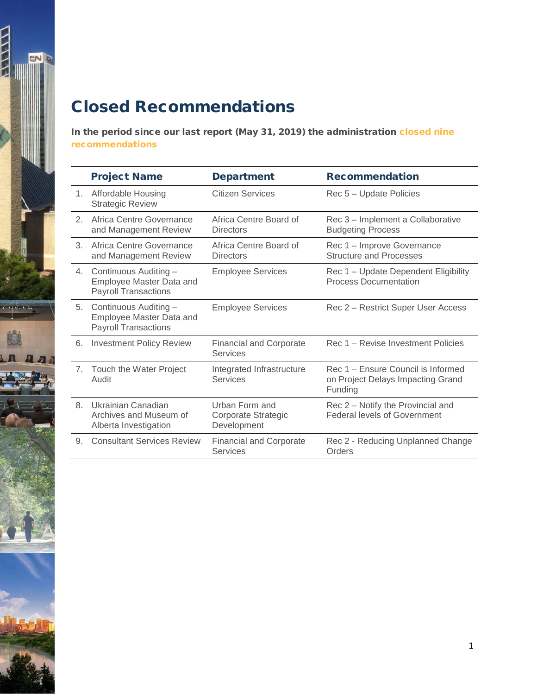#### Closed Recommendations

 $\frac{1}{2}$ 

meregen.

In the period since our last report (May 31, 2019) the administration closed nine recommendations

|    | <b>Project Name</b>                                                              | <b>Department</b>                                    | <b>Recommendation</b>                                                              |
|----|----------------------------------------------------------------------------------|------------------------------------------------------|------------------------------------------------------------------------------------|
| 1. | <b>Affordable Housing</b><br><b>Strategic Review</b>                             | Citizen Services                                     | Rec 5 - Update Policies                                                            |
| 2. | Africa Centre Governance<br>and Management Review                                | Africa Centre Board of<br><b>Directors</b>           | Rec 3 - Implement a Collaborative<br><b>Budgeting Process</b>                      |
| 3. | Africa Centre Governance<br>and Management Review                                | Africa Centre Board of<br>Directors                  | Rec 1 - Improve Governance<br><b>Structure and Processes</b>                       |
| 4. | Continuous Auditing -<br>Employee Master Data and<br><b>Payroll Transactions</b> | <b>Employee Services</b>                             | Rec 1 - Update Dependent Eligibility<br><b>Process Documentation</b>               |
| 5. | Continuous Auditing -<br>Employee Master Data and<br><b>Payroll Transactions</b> | <b>Employee Services</b>                             | Rec 2 – Restrict Super User Access                                                 |
| 6. | <b>Investment Policy Review</b>                                                  | <b>Financial and Corporate</b><br>Services           | Rec 1 – Revise Investment Policies                                                 |
| 7. | Touch the Water Project<br>Audit                                                 | Integrated Infrastructure<br><b>Services</b>         | Rec 1 – Ensure Council is Informed<br>on Project Delays Impacting Grand<br>Funding |
| 8. | Ukrainian Canadian<br>Archives and Museum of<br>Alberta Investigation            | Urban Form and<br>Corporate Strategic<br>Development | Rec 2 - Notify the Provincial and<br><b>Federal levels of Government</b>           |
| 9. | <b>Consultant Services Review</b>                                                | <b>Financial and Corporate</b><br><b>Services</b>    | Rec 2 - Reducing Unplanned Change<br>Orders                                        |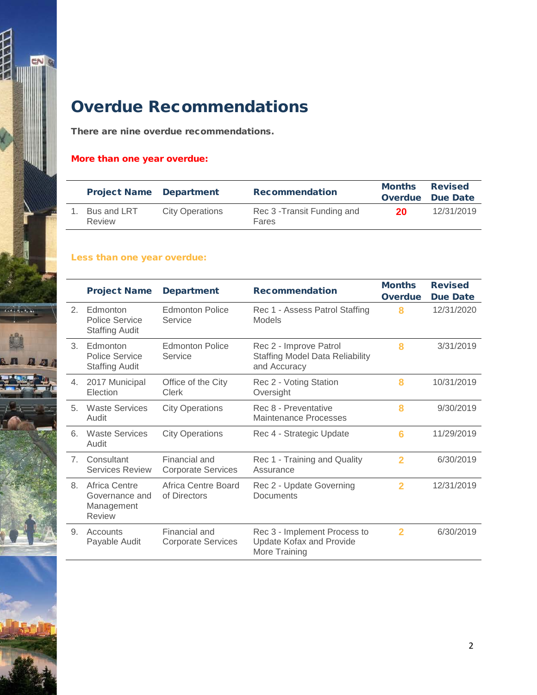

### Overdue Recommendations

There are nine overdue recommendations.

#### More than one year overdue:

| <b>Project Name Department</b> |                        | <b>Recommendation</b>                | <b>Months</b> | <b>Revised</b><br><b>Overdue</b> Due Date |
|--------------------------------|------------------------|--------------------------------------|---------------|-------------------------------------------|
| Bus and LRT<br>Review          | <b>City Operations</b> | Rec 3 - Transit Funding and<br>Fares | 20            | 12/31/2019                                |

#### Less than one year overdue:

|                | <b>Project Name</b>                                            | <b>Department</b>                          | <b>Recommendation</b>                                                            | <b>Months</b><br><b>Overdue</b> | <b>Revised</b><br><b>Due Date</b> |
|----------------|----------------------------------------------------------------|--------------------------------------------|----------------------------------------------------------------------------------|---------------------------------|-----------------------------------|
| 2.             | Edmonton<br><b>Police Service</b><br><b>Staffing Audit</b>     | <b>Edmonton Police</b><br>Service          | Rec 1 - Assess Patrol Staffing<br><b>Models</b>                                  | 8                               | 12/31/2020                        |
| 3.             | Edmonton<br><b>Police Service</b><br><b>Staffing Audit</b>     | <b>Edmonton Police</b><br>Service          | Rec 2 - Improve Patrol<br><b>Staffing Model Data Reliability</b><br>and Accuracy | 8                               | 3/31/2019                         |
| 4.             | 2017 Municipal<br>Election                                     | Office of the City<br>Clerk                | Rec 2 - Voting Station<br>Oversight                                              | 8                               | 10/31/2019                        |
| 5.             | <b>Waste Services</b><br>Audit                                 | <b>City Operations</b>                     | Rec 8 - Preventative<br>Maintenance Processes                                    | 8                               | 9/30/2019                         |
| 6.             | <b>Waste Services</b><br>Audit                                 | <b>City Operations</b>                     | Rec 4 - Strategic Update                                                         | 6                               | 11/29/2019                        |
| $\overline{7}$ | Consultant<br><b>Services Review</b>                           | Financial and<br><b>Corporate Services</b> | Rec 1 - Training and Quality<br>Assurance                                        | $\overline{2}$                  | 6/30/2019                         |
| 8.             | Africa Centre<br>Governance and<br>Management<br><b>Review</b> | Africa Centre Board<br>of Directors        | Rec 2 - Update Governing<br>Documents                                            | 2                               | 12/31/2019                        |
| 9.             | Accounts<br>Payable Audit                                      | Financial and<br><b>Corporate Services</b> | Rec 3 - Implement Process to<br><b>Update Kofax and Provide</b><br>More Training | $\mathbf{2}$                    | 6/30/2019                         |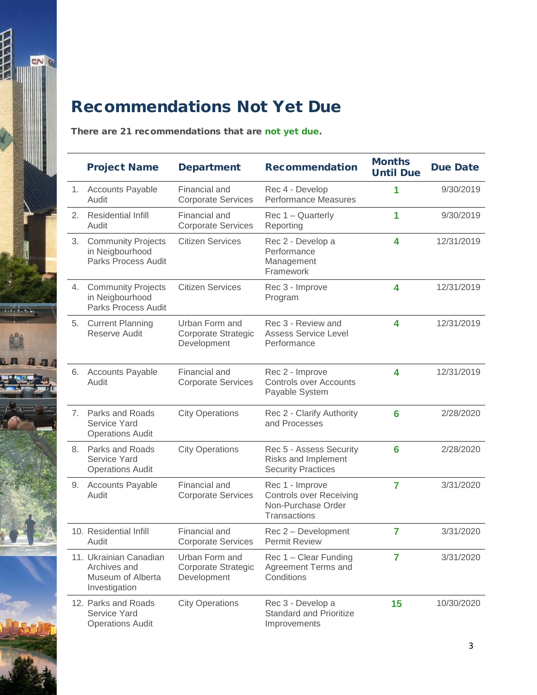

### Recommendations Not Yet Due

There are 21 recommendations that are not yet due.

|    | <b>Project Name</b>                                                          | <b>Department</b>                                    | <b>Recommendation</b>                                                                   | <b>Months</b><br><b>Until Due</b> | <b>Due Date</b> |
|----|------------------------------------------------------------------------------|------------------------------------------------------|-----------------------------------------------------------------------------------------|-----------------------------------|-----------------|
| 1. | <b>Accounts Payable</b><br>Audit                                             | Financial and<br><b>Corporate Services</b>           | Rec 4 - Develop<br><b>Performance Measures</b>                                          | 1                                 | 9/30/2019       |
| 2. | <b>Residential Infill</b><br>Audit                                           | Financial and<br><b>Corporate Services</b>           | Rec 1 - Quarterly<br>Reporting                                                          | 1                                 | 9/30/2019       |
| 3. | <b>Community Projects</b><br>in Neigbourhood<br><b>Parks Process Audit</b>   | <b>Citizen Services</b>                              | Rec 2 - Develop a<br>Performance<br>Management<br>Framework                             | 4                                 | 12/31/2019      |
| 4. | <b>Community Projects</b><br>in Neigbourhood<br>Parks Process Audit          | <b>Citizen Services</b>                              | Rec 3 - Improve<br>Program                                                              | 4                                 | 12/31/2019      |
| 5. | <b>Current Planning</b><br>Reserve Audit                                     | Urban Form and<br>Corporate Strategic<br>Development | Rec 3 - Review and<br><b>Assess Service Level</b><br>Performance                        | 4                                 | 12/31/2019      |
| 6. | <b>Accounts Payable</b><br>Audit                                             | Financial and<br><b>Corporate Services</b>           | Rec 2 - Improve<br><b>Controls over Accounts</b><br>Payable System                      | 4                                 | 12/31/2019      |
|    | 7. Parks and Roads<br>Service Yard<br><b>Operations Audit</b>                | <b>City Operations</b>                               | Rec 2 - Clarify Authority<br>and Processes                                              | 6                                 | 2/28/2020       |
| 8. | Parks and Roads<br><b>Service Yard</b><br><b>Operations Audit</b>            | <b>City Operations</b>                               | Rec 5 - Assess Security<br>Risks and Implement<br><b>Security Practices</b>             | 6                                 | 2/28/2020       |
| 9. | <b>Accounts Payable</b><br>Audit                                             | Financial and<br><b>Corporate Services</b>           | Rec 1 - Improve<br><b>Controls over Receiving</b><br>Non-Purchase Order<br>Transactions | $\overline{7}$                    | 3/31/2020       |
|    | 10. Residential Infill<br>Audit                                              | Financial and<br><b>Corporate Services</b>           | Rec 2 - Development<br><b>Permit Review</b>                                             | 7                                 | 3/31/2020       |
|    | 11. Ukrainian Canadian<br>Archives and<br>Museum of Alberta<br>Investigation | Urban Form and<br>Corporate Strategic<br>Development | Rec 1 - Clear Funding<br>Agreement Terms and<br>Conditions                              | 7                                 | 3/31/2020       |
|    | 12. Parks and Roads<br>Service Yard<br><b>Operations Audit</b>               | <b>City Operations</b>                               | Rec 3 - Develop a<br><b>Standard and Prioritize</b><br>Improvements                     | 15                                | 10/30/2020      |